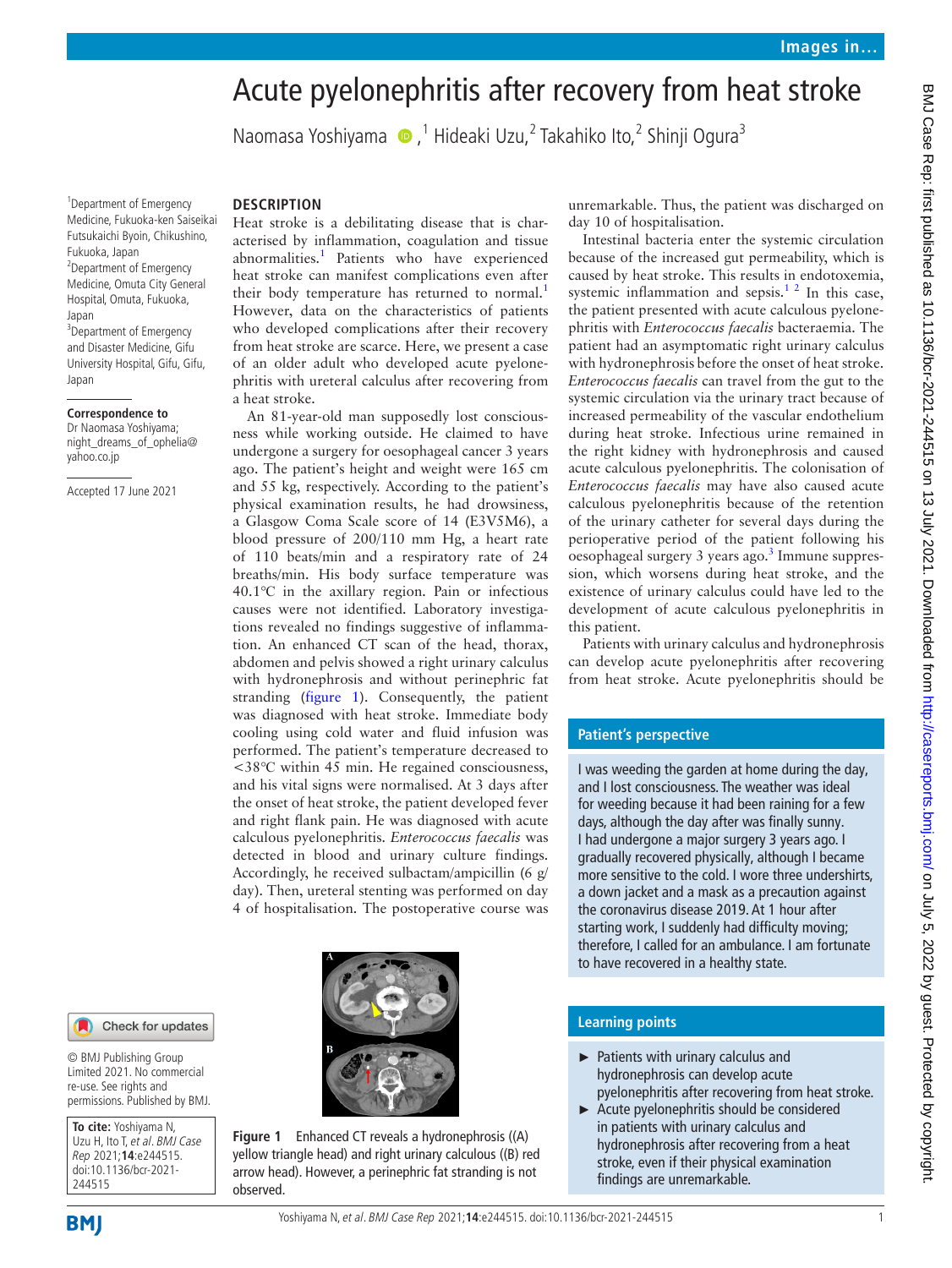# Acute pyelonephritis after recovery from heat stroke

NaomasaYoshiyama (D,<sup>1</sup> Hideaki Uzu,<sup>2</sup> Takahiko Ito,<sup>2</sup> Shinji Ogura<sup>3</sup>

<sup>1</sup> Department of Emergency Medicine, Fukuoka-ken Saiseikai Futsukaichi Byoin, Chikushino, Fukuoka, Japan <sup>2</sup> Department of Emergency Medicine, Omuta City General Hospital, Omuta, Fukuoka, Japan <sup>3</sup>Department of Emergency and Disaster Medicine, Gifu University Hospital, Gifu, Gifu,

#### **Correspondence to**

Japan

Dr Naomasa Yoshiyama; night\_dreams\_of\_ophelia@ yahoo.co.jp

Accepted 17 June 2021

### **DESCRIPTION**

Heat stroke is a debilitating disease that is characterised by inflammation, coagulation and tissue abnormalities.<sup>1</sup> Patients who have experienced heat stroke can manifest complications even after their body temperature has returned to normal.<sup>[1](#page-1-0)</sup> However, data on the characteristics of patients who developed complications after their recovery from heat stroke are scarce. Here, we present a case of an older adult who developed acute pyelonephritis with ureteral calculus after recovering from a heat stroke.

An 81-year-old man supposedly lost consciousness while working outside. He claimed to have undergone a surgery for oesophageal cancer 3 years ago. The patient's height and weight were 165 cm and 55 kg, respectively. According to the patient's physical examination results, he had drowsiness, a Glasgow Coma Scale score of 14 (E3V5M6), a blood pressure of 200/110 mm Hg, a heart rate of 110 beats/min and a respiratory rate of 24 breaths/min. His body surface temperature was 40.1℃ in the axillary region. Pain or infectious causes were not identified. Laboratory investigations revealed no findings suggestive of inflammation. An enhanced CT scan of the head, thorax, abdomen and pelvis showed a right urinary calculus with hydronephrosis and without perinephric fat stranding [\(figure](#page-0-0) 1). Consequently, the patient was diagnosed with heat stroke. Immediate body cooling using cold water and fluid infusion was performed. The patient's temperature decreased to <38℃ within 45 min. He regained consciousness, and his vital signs were normalised. At 3 days after the onset of heat stroke, the patient developed fever and right flank pain. He was diagnosed with acute calculous pyelonephritis. *Enterococcus faecalis* was detected in blood and urinary culture findings. Accordingly, he received sulbactam/ampicillin (6 g/ day). Then, ureteral stenting was performed on day 4 of hospitalisation. The postoperative course was

**Figure 1** Enhanced CT reveals a hydronephrosis ((A) yellow triangle head) and right urinary calculous ((B) red arrow head). However, a perinephric fat stranding is not observed.

unremarkable. Thus, the patient was discharged on day 10 of hospitalisation.

Intestinal bacteria enter the systemic circulation because of the increased gut permeability, which is caused by heat stroke. This results in endotoxemia, systemic inflammation and sepsis. $1^2$  In this case, the patient presented with acute calculous pyelonephritis with *Enterococcus faecalis* bacteraemia. The patient had an asymptomatic right urinary calculus with hydronephrosis before the onset of heat stroke. *Enterococcus faecalis* can travel from the gut to the systemic circulation via the urinary tract because of increased permeability of the vascular endothelium during heat stroke. Infectious urine remained in the right kidney with hydronephrosis and caused acute calculous pyelonephritis. The colonisation of *Enterococcus faecalis* may have also caused acute calculous pyelonephritis because of the retention of the urinary catheter for several days during the perioperative period of the patient following his oesophageal surgery 3 years ago.<sup>3</sup> Immune suppression, which worsens during heat stroke, and the existence of urinary calculus could have led to the development of acute calculous pyelonephritis in this patient.

Patients with urinary calculus and hydronephrosis can develop acute pyelonephritis after recovering from heat stroke. Acute pyelonephritis should be

#### **Patient's perspective**

I was weeding the garden at home during the day, and I lost consciousness. The weather was ideal for weeding because it had been raining for a few days, although the day after was finally sunny. I had undergone a major surgery 3 years ago. I gradually recovered physically, although I became more sensitive to the cold. I wore three undershirts, a down jacket and a mask as a precaution against the coronavirus disease 2019. At 1 hour after starting work, I suddenly had difficulty moving; therefore, I called for an ambulance. I am fortunate to have recovered in a healthy state.

## **Learning points**

- ► Patients with urinary calculus and hydronephrosis can develop acute pyelonephritis after recovering from heat stroke.
- <span id="page-0-0"></span>► Acute pyelonephritis should be considered in patients with urinary calculus and hydronephrosis after recovering from a heat stroke, even if their physical examination findings are unremarkable.

Check for updates

© BMJ Publishing Group Limited 2021. No commercial re-use. See rights and permissions. Published by BMJ.

**To cite:** Yoshiyama N, Uzu H, Ito T, et al. BMJ Case Rep 2021;**14**:e244515. doi:10.1136/bcr-2021- 244515